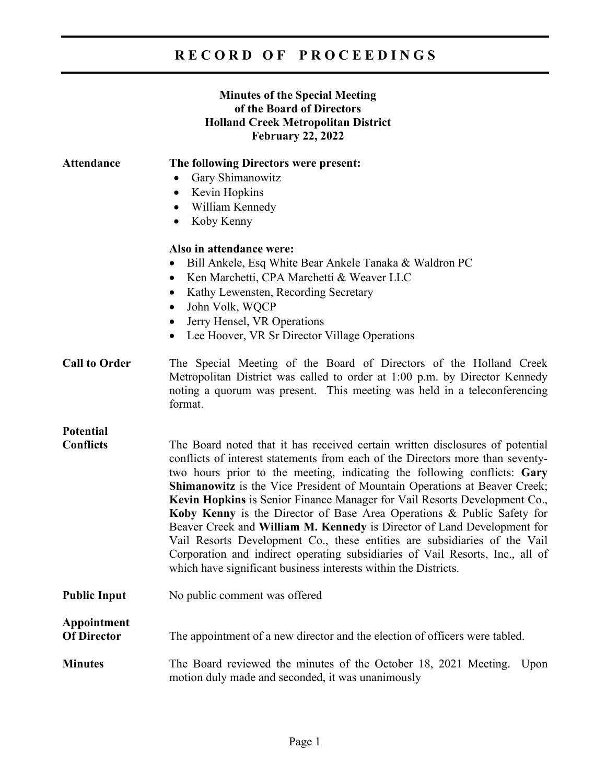# **R E C O R D O F P R O C E E D I N G S**

### **Minutes of the Special Meeting of the Board of Directors Holland Creek Metropolitan District February 22, 2022**

| <b>Attendance</b>                 | The following Directors were present:                                                                                                                                                                                                                                                                                                                                                                                                                                                                                                                                                                                                                                                                                                                                                       |
|-----------------------------------|---------------------------------------------------------------------------------------------------------------------------------------------------------------------------------------------------------------------------------------------------------------------------------------------------------------------------------------------------------------------------------------------------------------------------------------------------------------------------------------------------------------------------------------------------------------------------------------------------------------------------------------------------------------------------------------------------------------------------------------------------------------------------------------------|
|                                   | Gary Shimanowitz<br>$\bullet$                                                                                                                                                                                                                                                                                                                                                                                                                                                                                                                                                                                                                                                                                                                                                               |
|                                   | Kevin Hopkins<br>$\bullet$                                                                                                                                                                                                                                                                                                                                                                                                                                                                                                                                                                                                                                                                                                                                                                  |
|                                   | William Kennedy<br>$\bullet$                                                                                                                                                                                                                                                                                                                                                                                                                                                                                                                                                                                                                                                                                                                                                                |
|                                   | Koby Kenny<br>$\bullet$                                                                                                                                                                                                                                                                                                                                                                                                                                                                                                                                                                                                                                                                                                                                                                     |
|                                   | Also in attendance were:                                                                                                                                                                                                                                                                                                                                                                                                                                                                                                                                                                                                                                                                                                                                                                    |
|                                   | Bill Ankele, Esq White Bear Ankele Tanaka & Waldron PC<br>$\bullet$                                                                                                                                                                                                                                                                                                                                                                                                                                                                                                                                                                                                                                                                                                                         |
|                                   | Ken Marchetti, CPA Marchetti & Weaver LLC<br>$\bullet$                                                                                                                                                                                                                                                                                                                                                                                                                                                                                                                                                                                                                                                                                                                                      |
|                                   | Kathy Lewensten, Recording Secretary<br>$\bullet$                                                                                                                                                                                                                                                                                                                                                                                                                                                                                                                                                                                                                                                                                                                                           |
|                                   | John Volk, WQCP<br>$\bullet$                                                                                                                                                                                                                                                                                                                                                                                                                                                                                                                                                                                                                                                                                                                                                                |
|                                   | Jerry Hensel, VR Operations                                                                                                                                                                                                                                                                                                                                                                                                                                                                                                                                                                                                                                                                                                                                                                 |
|                                   | $\bullet$<br>Lee Hoover, VR Sr Director Village Operations                                                                                                                                                                                                                                                                                                                                                                                                                                                                                                                                                                                                                                                                                                                                  |
|                                   |                                                                                                                                                                                                                                                                                                                                                                                                                                                                                                                                                                                                                                                                                                                                                                                             |
| <b>Call to Order</b>              | The Special Meeting of the Board of Directors of the Holland Creek<br>Metropolitan District was called to order at 1:00 p.m. by Director Kennedy<br>noting a quorum was present. This meeting was held in a teleconferencing<br>format.                                                                                                                                                                                                                                                                                                                                                                                                                                                                                                                                                     |
| <b>Potential</b>                  |                                                                                                                                                                                                                                                                                                                                                                                                                                                                                                                                                                                                                                                                                                                                                                                             |
| <b>Conflicts</b>                  | The Board noted that it has received certain written disclosures of potential<br>conflicts of interest statements from each of the Directors more than seventy-<br>two hours prior to the meeting, indicating the following conflicts: Gary<br>Shimanowitz is the Vice President of Mountain Operations at Beaver Creek;<br>Kevin Hopkins is Senior Finance Manager for Vail Resorts Development Co.,<br>Koby Kenny is the Director of Base Area Operations & Public Safety for<br>Beaver Creek and William M. Kennedy is Director of Land Development for<br>Vail Resorts Development Co., these entities are subsidiaries of the Vail<br>Corporation and indirect operating subsidiaries of Vail Resorts, Inc., all of<br>which have significant business interests within the Districts. |
| <b>Public Input</b>               | No public comment was offered                                                                                                                                                                                                                                                                                                                                                                                                                                                                                                                                                                                                                                                                                                                                                               |
| Appointment<br><b>Of Director</b> | The appointment of a new director and the election of officers were tabled.                                                                                                                                                                                                                                                                                                                                                                                                                                                                                                                                                                                                                                                                                                                 |
| <b>Minutes</b>                    | The Board reviewed the minutes of the October 18, 2021 Meeting.<br>Upon<br>motion duly made and seconded, it was unanimously                                                                                                                                                                                                                                                                                                                                                                                                                                                                                                                                                                                                                                                                |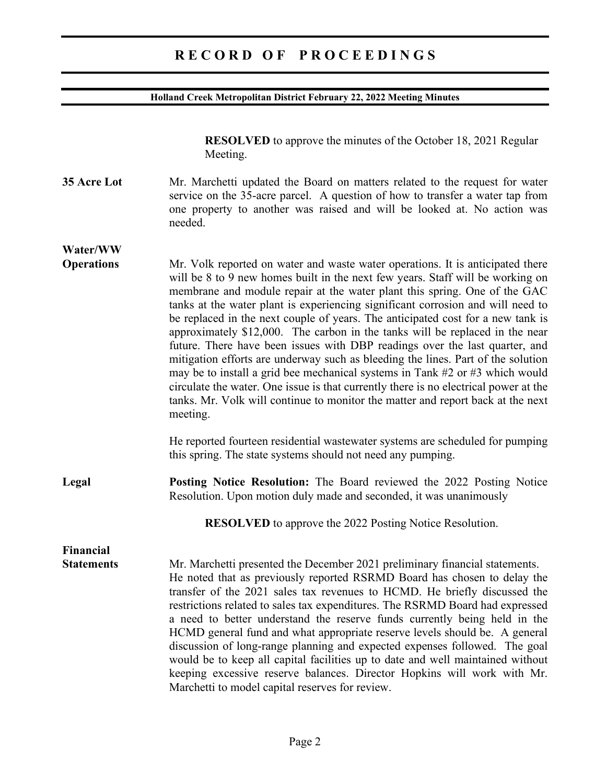### **R E C O R D O F P R O C E E D I N G S**

#### **Holland Creek Metropolitan District February 22, 2022 Meeting Minutes**

**RESOLVED** to approve the minutes of the October 18, 2021 Regular Meeting.

**35 Acre Lot** Mr. Marchetti updated the Board on matters related to the request for water service on the 35-acre parcel. A question of how to transfer a water tap from one property to another was raised and will be looked at. No action was needed.

**Water/WW Operations** Mr. Volk reported on water and waste water operations. It is anticipated there will be 8 to 9 new homes built in the next few years. Staff will be working on membrane and module repair at the water plant this spring. One of the GAC tanks at the water plant is experiencing significant corrosion and will need to be replaced in the next couple of years. The anticipated cost for a new tank is approximately \$12,000. The carbon in the tanks will be replaced in the near future. There have been issues with DBP readings over the last quarter, and mitigation efforts are underway such as bleeding the lines. Part of the solution may be to install a grid bee mechanical systems in Tank #2 or #3 which would circulate the water. One issue is that currently there is no electrical power at the tanks. Mr. Volk will continue to monitor the matter and report back at the next meeting.

> He reported fourteen residential wastewater systems are scheduled for pumping this spring. The state systems should not need any pumping.

**Legal Posting Notice Resolution:** The Board reviewed the 2022 Posting Notice Resolution. Upon motion duly made and seconded, it was unanimously

**RESOLVED** to approve the 2022 Posting Notice Resolution.

**Financial** 

**Statements** Mr. Marchetti presented the December 2021 preliminary financial statements. He noted that as previously reported RSRMD Board has chosen to delay the transfer of the 2021 sales tax revenues to HCMD. He briefly discussed the restrictions related to sales tax expenditures. The RSRMD Board had expressed a need to better understand the reserve funds currently being held in the HCMD general fund and what appropriate reserve levels should be. A general discussion of long-range planning and expected expenses followed. The goal would be to keep all capital facilities up to date and well maintained without keeping excessive reserve balances. Director Hopkins will work with Mr. Marchetti to model capital reserves for review.